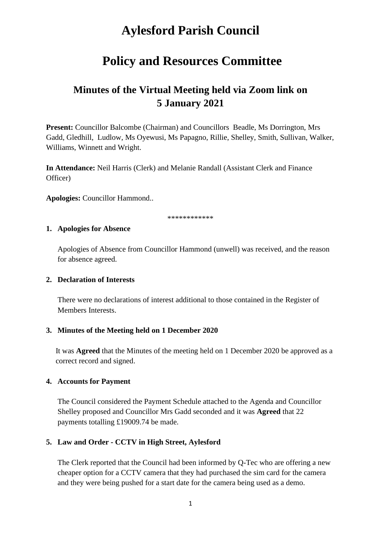# **Aylesford Parish Council**

## **Policy and Resources Committee**

## **Minutes of the Virtual Meeting held via Zoom link on 5 January 2021**

**Present:** Councillor Balcombe (Chairman) and Councillors Beadle, Ms Dorrington, Mrs Gadd, Gledhill, Ludlow, Ms Oyewusi, Ms Papagno, Rillie, Shelley, Smith, Sullivan, Walker, Williams, Winnett and Wright.

**In Attendance:** Neil Harris (Clerk) and Melanie Randall (Assistant Clerk and Finance Officer)

**Apologies:** Councillor Hammond..

\*\*\*\*\*\*\*\*\*\*\*\*

### **1. Apologies for Absence**

Apologies of Absence from Councillor Hammond (unwell) was received, and the reason for absence agreed.

#### **2. Declaration of Interests**

There were no declarations of interest additional to those contained in the Register of Members Interests.

## **3. Minutes of the Meeting held on 1 December 2020**

It was **Agreed** that the Minutes of the meeting held on 1 December 2020 be approved as a correct record and signed.

#### **4. Accounts for Payment**

The Council considered the Payment Schedule attached to the Agenda and Councillor Shelley proposed and Councillor Mrs Gadd seconded and it was **Agreed** that 22 payments totalling £19009.74 be made.

## **5. Law and Order - CCTV in High Street, Aylesford**

The Clerk reported that the Council had been informed by Q-Tec who are offering a new cheaper option for a CCTV camera that they had purchased the sim card for the camera and they were being pushed for a start date for the camera being used as a demo.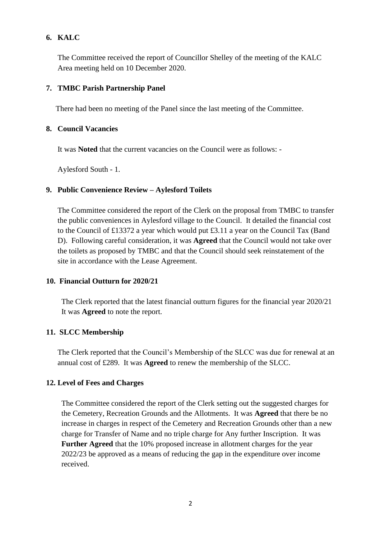## **6. KALC**

The Committee received the report of Councillor Shelley of the meeting of the KALC Area meeting held on 10 December 2020.

### **7. TMBC Parish Partnership Panel**

There had been no meeting of the Panel since the last meeting of the Committee.

#### **8. Council Vacancies**

It was **Noted** that the current vacancies on the Council were as follows: -

Aylesford South - 1.

#### **9. Public Convenience Review – Aylesford Toilets**

The Committee considered the report of the Clerk on the proposal from TMBC to transfer the public conveniences in Aylesford village to the Council. It detailed the financial cost to the Council of £13372 a year which would put £3.11 a year on the Council Tax (Band D). Following careful consideration, it was **Agreed** that the Council would not take over the toilets as proposed by TMBC and that the Council should seek reinstatement of the site in accordance with the Lease Agreement.

## **10. Financial Outturn for 2020/21**

The Clerk reported that the latest financial outturn figures for the financial year 2020/21 It was **Agreed** to note the report.

## **11. SLCC Membership**

The Clerk reported that the Council's Membership of the SLCC was due for renewal at an annual cost of £289. It was **Agreed** to renew the membership of the SLCC.

## **12. Level of Fees and Charges**

The Committee considered the report of the Clerk setting out the suggested charges for the Cemetery, Recreation Grounds and the Allotments. It was **Agreed** that there be no increase in charges in respect of the Cemetery and Recreation Grounds other than a new charge for Transfer of Name and no triple charge for Any further Inscription. It was **Further Agreed** that the 10% proposed increase in allotment charges for the year 2022/23 be approved as a means of reducing the gap in the expenditure over income received.